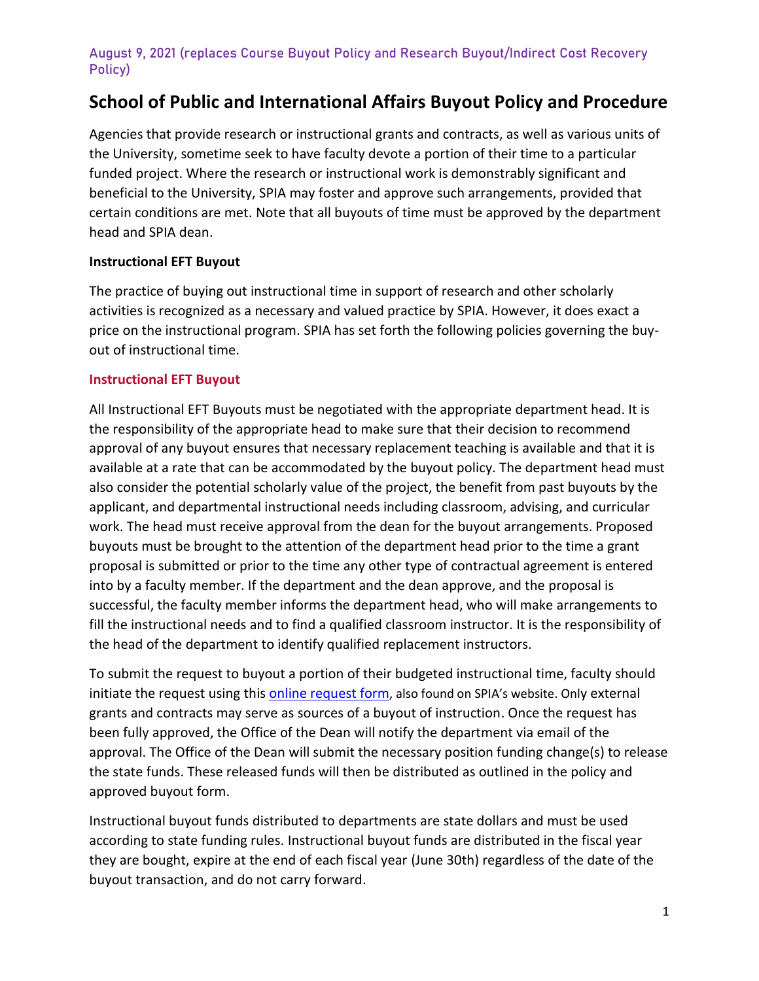# **School of Public and International Affairs Buyout Policy and Procedure**

Agencies that provide research or instructional grants and contracts, as well as various units of the University, sometime seek to have faculty devote a portion of their time to a particular funded project. Where the research or instructional work is demonstrably significant and beneficial to the University, SPIA may foster and approve such arrangements, provided that certain conditions are met. Note that all buyouts of time must be approved by the department head and SPIA dean.

#### **Instructional EFT Buyout**

The practice of buying out instructional time in support of research and other scholarly activities is recognized as a necessary and valued practice by SPIA. However, it does exact a price on the instructional program. SPIA has set forth the following policies governing the buyout of instructional time.

#### **Instructional EFT Buyout**

All Instructional EFT Buyouts must be negotiated with the appropriate department head. It is the responsibility of the appropriate head to make sure that their decision to recommend approval of any buyout ensures that necessary replacement teaching is available and that it is available at a rate that can be accommodated by the buyout policy. The department head must also consider the potential scholarly value of the project, the benefit from past buyouts by the applicant, and departmental instructional needs including classroom, advising, and curricular work. The head must receive approval from the dean for the buyout arrangements. Proposed buyouts must be brought to the attention of the department head prior to the time a grant proposal is submitted or prior to the time any other type of contractual agreement is entered into by a faculty member. If the department and the dean approve, and the proposal is successful, the faculty member informs the department head, who will make arrangements to fill the instructional needs and to find a qualified classroom instructor. It is the responsibility of the head of the department to identify qualified replacement instructors.

To submit the request to buyout a portion of their budgeted instructional time, faculty should initiate the request using this [online request form](https://ugeorgia.ca1.qualtrics.com/jfe/form/SV_3HGZO5sowwhgk0C), also found on SPIA's website. Only external grants and contracts may serve as sources of a buyout of instruction. Once the request has been fully approved, the Office of the Dean will notify the department via email of the approval. The Office of the Dean will submit the necessary position funding change(s) to release the state funds. These released funds will then be distributed as outlined in the policy and approved buyout form.

Instructional buyout funds distributed to departments are state dollars and must be used according to state funding rules. Instructional buyout funds are distributed in the fiscal year they are bought, expire at the end of each fiscal year (June 30th) regardless of the date of the buyout transaction, and do not carry forward.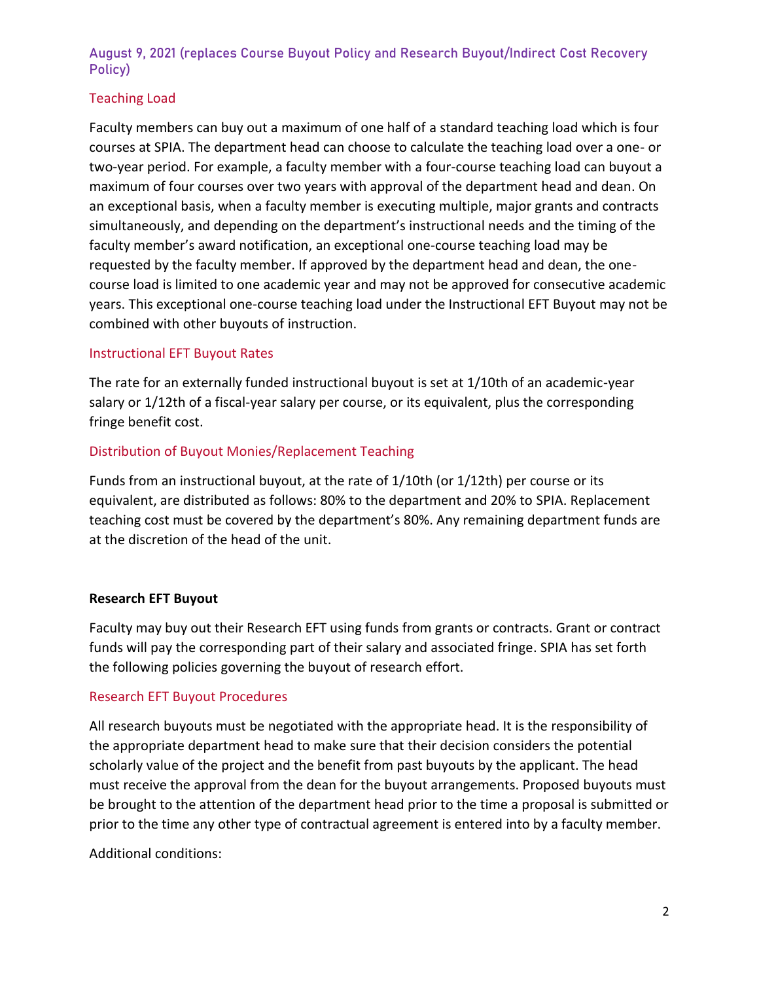# Teaching Load

Faculty members can buy out a maximum of one half of a standard teaching load which is four courses at SPIA. The department head can choose to calculate the teaching load over a one- or two-year period. For example, a faculty member with a four-course teaching load can buyout a maximum of four courses over two years with approval of the department head and dean. On an exceptional basis, when a faculty member is executing multiple, major grants and contracts simultaneously, and depending on the department's instructional needs and the timing of the faculty member's award notification, an exceptional one-course teaching load may be requested by the faculty member. If approved by the department head and dean, the onecourse load is limited to one academic year and may not be approved for consecutive academic years. This exceptional one-course teaching load under the Instructional EFT Buyout may not be combined with other buyouts of instruction.

## Instructional EFT Buyout Rates

The rate for an externally funded instructional buyout is set at 1/10th of an academic-year salary or 1/12th of a fiscal-year salary per course, or its equivalent, plus the corresponding fringe benefit cost.

#### Distribution of Buyout Monies/Replacement Teaching

Funds from an instructional buyout, at the rate of 1/10th (or 1/12th) per course or its equivalent, are distributed as follows: 80% to the department and 20% to SPIA. Replacement teaching cost must be covered by the department's 80%. Any remaining department funds are at the discretion of the head of the unit.

#### **Research EFT Buyout**

Faculty may buy out their Research EFT using funds from grants or contracts. Grant or contract funds will pay the corresponding part of their salary and associated fringe. SPIA has set forth the following policies governing the buyout of research effort.

#### Research EFT Buyout Procedures

All research buyouts must be negotiated with the appropriate head. It is the responsibility of the appropriate department head to make sure that their decision considers the potential scholarly value of the project and the benefit from past buyouts by the applicant. The head must receive the approval from the dean for the buyout arrangements. Proposed buyouts must be brought to the attention of the department head prior to the time a proposal is submitted or prior to the time any other type of contractual agreement is entered into by a faculty member.

Additional conditions: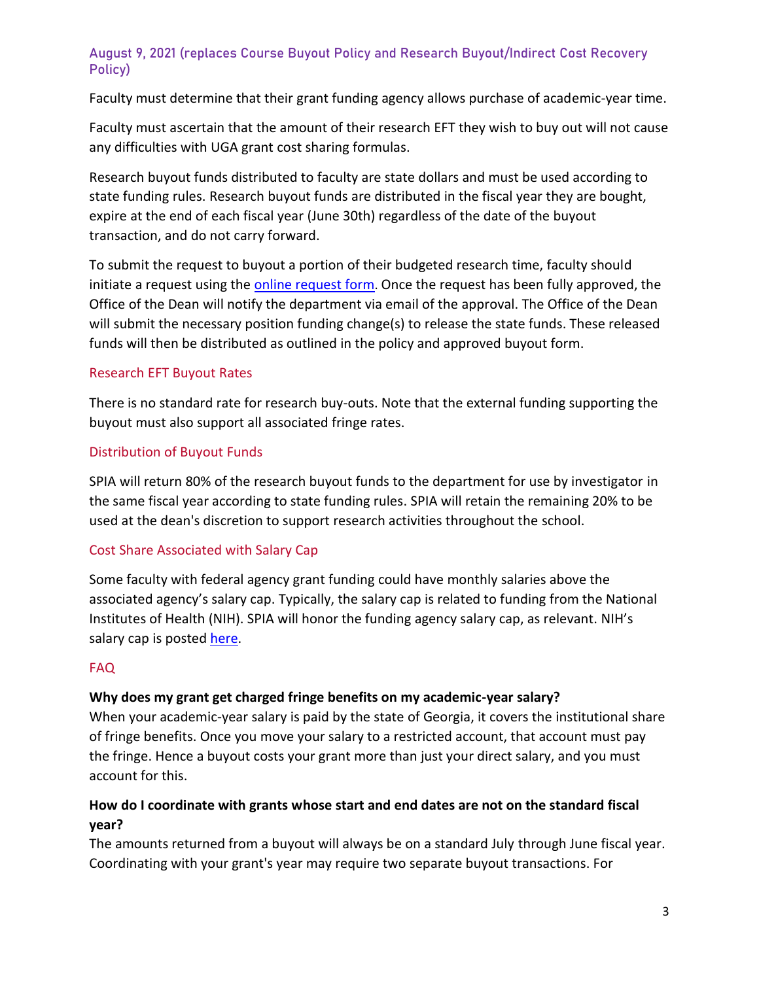Faculty must determine that their grant funding agency allows purchase of academic-year time.

Faculty must ascertain that the amount of their research EFT they wish to buy out will not cause any difficulties with UGA grant cost sharing formulas.

Research buyout funds distributed to faculty are state dollars and must be used according to state funding rules. Research buyout funds are distributed in the fiscal year they are bought, expire at the end of each fiscal year (June 30th) regardless of the date of the buyout transaction, and do not carry forward.

To submit the request to buyout a portion of their budgeted research time, faculty should initiate a request using the [online request form](https://ugeorgia.ca1.qualtrics.com/jfe/form/SV_4IbIaNO3gOOpeCi). Once the request has been fully approved, the Office of the Dean will notify the department via email of the approval. The Office of the Dean will submit the necessary position funding change(s) to release the state funds. These released funds will then be distributed as outlined in the policy and approved buyout form.

## Research EFT Buyout Rates

There is no standard rate for research buy-outs. Note that the external funding supporting the buyout must also support all associated fringe rates.

# Distribution of Buyout Funds

SPIA will return 80% of the research buyout funds to the department for use by investigator in the same fiscal year according to state funding rules. SPIA will retain the remaining 20% to be used at the dean's discretion to support research activities throughout the school.

# Cost Share Associated with Salary Cap

Some faculty with federal agency grant funding could have monthly salaries above the associated agency's salary cap. Typically, the salary cap is related to funding from the National Institutes of Health (NIH). SPIA will honor the funding agency salary cap, as relevant. NIH's salary cap is posted [here.](https://www.niaid.nih.gov/grants-contracts/salary-cap-stipends)

# FAQ

# **Why does my grant get charged fringe benefits on my academic-year salary?**

When your academic-year salary is paid by the state of Georgia, it covers the institutional share of fringe benefits. Once you move your salary to a restricted account, that account must pay the fringe. Hence a buyout costs your grant more than just your direct salary, and you must account for this.

# **How do I coordinate with grants whose start and end dates are not on the standard fiscal year?**

The amounts returned from a buyout will always be on a standard July through June fiscal year. Coordinating with your grant's year may require two separate buyout transactions. For